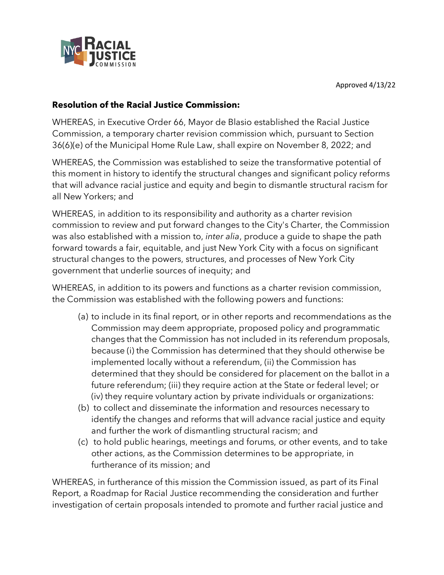

## **Resolution of the Racial Justice Commission:**

WHEREAS, in Executive Order 66, Mayor de Blasio established the Racial Justice Commission, a temporary charter revision commission which, pursuant to Section 36(6)(e) of the Municipal Home Rule Law, shall expire on November 8, 2022; and

WHEREAS, the Commission was established to seize the transformative potential of this moment in history to identify the structural changes and significant policy reforms that will advance racial justice and equity and begin to dismantle structural racism for all New Yorkers; and

WHEREAS, in addition to its responsibility and authority as a charter revision commission to review and put forward changes to the City's Charter, the Commission was also established with a mission to, *inter alia*, produce a guide to shape the path forward towards a fair, equitable, and just New York City with a focus on significant structural changes to the powers, structures, and processes of New York City government that underlie sources of inequity; and

WHEREAS, in addition to its powers and functions as a charter revision commission, the Commission was established with the following powers and functions:

- (a) to include in its final report, or in other reports and recommendations as the Commission may deem appropriate, proposed policy and programmatic changes that the Commission has not included in its referendum proposals, because (i) the Commission has determined that they should otherwise be implemented locally without a referendum, (ii) the Commission has determined that they should be considered for placement on the ballot in a future referendum; (iii) they require action at the State or federal level; or (iv) they require voluntary action by private individuals or organizations:
- (b) to collect and disseminate the information and resources necessary to identify the changes and reforms that will advance racial justice and equity and further the work of dismantling structural racism; and
- (c) to hold public hearings, meetings and forums, or other events, and to take other actions, as the Commission determines to be appropriate, in furtherance of its mission; and

WHEREAS, in furtherance of this mission the Commission issued, as part of its Final Report, a Roadmap for Racial Justice recommending the consideration and further investigation of certain proposals intended to promote and further racial justice and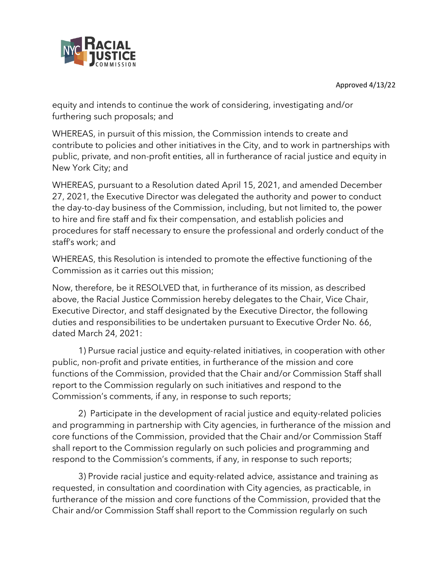Approved 4/13/22



equity and intends to continue the work of considering, investigating and/or furthering such proposals; and

WHEREAS, in pursuit of this mission, the Commission intends to create and contribute to policies and other initiatives in the City, and to work in partnerships with public, private, and non-profit entities, all in furtherance of racial justice and equity in New York City; and

WHEREAS, pursuant to a Resolution dated April 15, 2021, and amended December 27, 2021, the Executive Director was delegated the authority and power to conduct the day-to-day business of the Commission, including, but not limited to, the power to hire and fire staff and fix their compensation, and establish policies and procedures for staff necessary to ensure the professional and orderly conduct of the staff's work; and

WHEREAS, this Resolution is intended to promote the effective functioning of the Commission as it carries out this mission;

Now, therefore, be it RESOLVED that, in furtherance of its mission, as described above, the Racial Justice Commission hereby delegates to the Chair, Vice Chair, Executive Director, and staff designated by the Executive Director, the following duties and responsibilities to be undertaken pursuant to Executive Order No. 66, dated March 24, 2021:

1) Pursue racial justice and equity-related initiatives, in cooperation with other public, non-profit and private entities, in furtherance of the mission and core functions of the Commission, provided that the Chair and/or Commission Staff shall report to the Commission regularly on such initiatives and respond to the Commission's comments, if any, in response to such reports;

2) Participate in the development of racial justice and equity-related policies and programming in partnership with City agencies, in furtherance of the mission and core functions of the Commission, provided that the Chair and/or Commission Staff shall report to the Commission regularly on such policies and programming and respond to the Commission's comments, if any, in response to such reports;

3) Provide racial justice and equity-related advice, assistance and training as requested, in consultation and coordination with City agencies, as practicable, in furtherance of the mission and core functions of the Commission, provided that the Chair and/or Commission Staff shall report to the Commission regularly on such